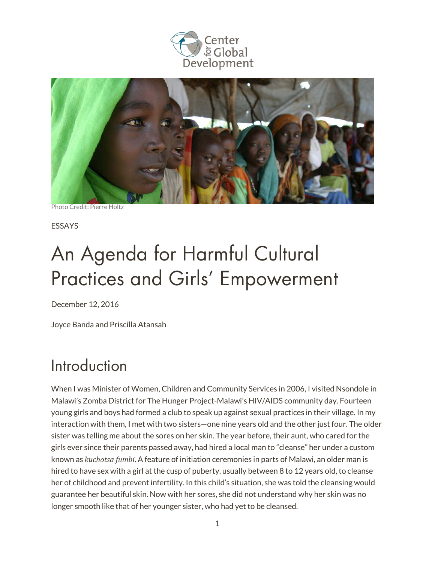



Photo Credit: Pierre Holtz

ESSAYS

# An Agenda for Harmful Cultural Practices and Girls' Empowerment

December 12, 2016

Joyce Banda and Priscilla Atansah

### Introduction

When I was Minister of Women, Children and Community Services in 2006, I visited Nsondole in Malawi's Zomba District for The Hunger Project-Malawi's HIV/AIDS community day. Fourteen young girls and boys had formed a club to speak up against sexual practices in their village. In my interaction with them, I met with two sisters—one nine years old and the other just four. The older sister was telling me about the sores on her skin. The year before, their aunt, who cared for the girls ever since their parents passed away, had hired a local man to "cleanse" her under a custom known as *kuchotsa fumbi*. A feature of initiation ceremonies in parts of Malawi, an older man is hired to have sex with a girl at the cusp of puberty, usually between 8 to 12 years old, to cleanse her of childhood and prevent infertility. In this child's situation, she was told the cleansing would guarantee her beautiful skin. Now with her sores, she did not understand why her skin was no longer smooth like that of her younger sister, who had yet to be cleansed.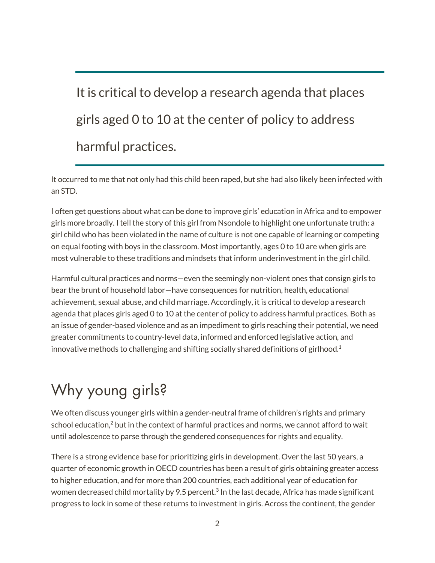# It is critical to develop a research agenda that places girls aged 0 to 10 at the center of policy to address harmful practices.

It occurred to me that not only had this child been raped, but she had also likely been infected with an STD.

I often get questions about what can be done to improve girls' education in Africa and to empower girls more broadly. I tell the story of this girl from Nsondole to highlight one unfortunate truth: a girl child who has been violated in the name of culture is not one capable of learning or competing on equal footing with boys in the classroom. Most importantly, ages 0 to 10 are when girls are most vulnerable to these traditions and mindsets that inform underinvestment in the girl child.

Harmful cultural practices and norms—even the seemingly non-violent ones that consign girls to bear the brunt of household labor—have consequences for nutrition, health, educational achievement, sexual abuse, and child marriage. Accordingly, it is critical to develop a research agenda that places girls aged 0 to 10 at the center of policy to address harmful practices. Both as an issue of gender-based violence and as an impediment to girls reaching their potential, we need greater commitments to country-level data, informed and enforced legislative action, and innovative methods to challenging and shifting socially shared definitions of girlhood.<sup>1</sup>

# Why young girls?

We often discuss younger girls within a gender-neutral frame of children's rights and primary school education, $2$  but in the context of harmful practices and norms, we cannot afford to wait until adolescence to parse through the gendered consequences for rights and equality.

There is a strong evidence base for prioritizing girls in development. Over the last 50 years, a quarter of economic growth in OECD countries has been a result of girls obtaining greater access to higher education, and for more than 200 countries, each additional year of education for women decreased child mortality by 9.5 percent.<sup>3</sup> In the last decade, Africa has made significant progress to lock in some of these returns to investment in girls. Across the continent, the gender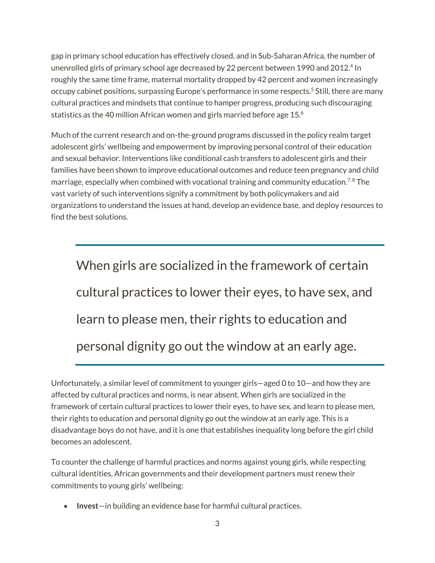gap in primary school education has effectively closed, and in Sub-Saharan Africa, the number of unenrolled girls of primary school age decreased by 22 percent between 1990 and 2012.<sup>4</sup> In roughly the same time frame, maternal mortality dropped by 42 percent and women increasingly occupy cabinet positions, surpassing Europe's performance in some respects.<sup>5</sup> Still, there are many cultural practices and mindsets that continue to hamper progress, producing such discouraging statistics as the 40 million African women and girls married before age 15.<sup>6</sup>

Much of the current research and on-the-ground programs discussed in the policy realm target adolescent girls' wellbeing and empowerment by improving personal control of their education and sexual behavior. Interventions like conditional cash transfers to adolescent girls and their families have been shown to improve educational outcomes and reduce teen pregnancy and child marriage, especially when combined with vocational training and community education.<sup>7,8</sup> The vast variety of such interventions signify a commitment by both policymakers and aid organizations to understand the issues at hand, develop an evidence base, and deploy resources to find the best solutions.

When girls are socialized in the framework of certain cultural practices to lower their eyes, to have sex, and learn to please men, their rights to education and personal dignity go out the window at an early age.

Unfortunately, a similar level of commitment to younger girls—aged 0 to 10—and how they are affected by cultural practices and norms, is near absent. When girls are socialized in the framework of certain cultural practices to lower their eyes, to have sex, and learn to please men, their rights to education and personal dignity go out the window at an early age. This is a disadvantage boys do not have, and it is one that establishes inequality long before the girl child becomes an adolescent.

To counter the challenge of harmful practices and norms against young girls, while respecting cultural identities, African governments and their development partners must renew their commitments to young girls' wellbeing:

• **Invest**—in building an evidence base for harmful cultural practices.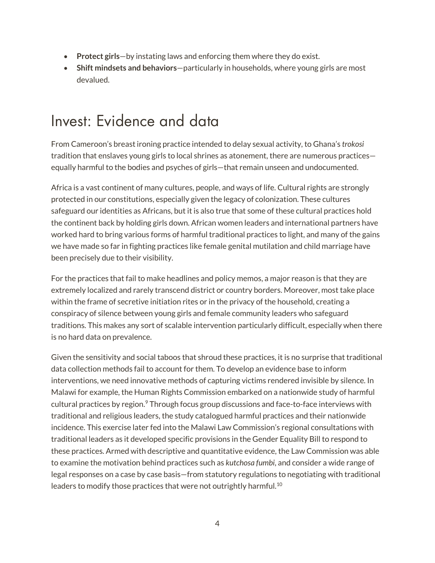- **Protect girls**—by instating laws and enforcing them where they do exist.
- **Shift mindsets and behaviors**—particularly in households, where young girls are most devalued.

#### Invest: Evidence and data

From Cameroon's breast ironing practice intended to delay sexual activity, to Ghana's *trokosi* tradition that enslaves young girls to local shrines as atonement, there are numerous practices equally harmful to the bodies and psyches of girls—that remain unseen and undocumented.

Africa is a vast continent of many cultures, people, and ways of life. Cultural rights are strongly protected in our constitutions, especially given the legacy of colonization. These cultures safeguard our identities as Africans, but it is also true that some of these cultural practices hold the continent back by holding girls down. African women leaders and international partners have worked hard to bring various forms of harmful traditional practices to light, and many of the gains we have made so far in fighting practices like female genital mutilation and child marriage have been precisely due to their visibility.

For the practices that fail to make headlines and policy memos, a major reason is that they are extremely localized and rarely transcend district or country borders. Moreover, most take place within the frame of secretive initiation rites or in the privacy of the household, creating a conspiracy of silence between young girls and female community leaders who safeguard traditions. This makes any sort of scalable intervention particularly difficult, especially when there is no hard data on prevalence.

Given the sensitivity and social taboos that shroud these practices, it is no surprise that traditional data collection methods fail to account for them. To develop an evidence base to inform interventions, we need innovative methods of capturing victims rendered invisible by silence. In Malawi for example, the Human Rights Commission embarked on a nationwide study of harmful cultural practices by region.<sup>9</sup> Through focus group discussions and face-to-face interviews with traditional and religious leaders, the study catalogued harmful practices and their nationwide incidence. This exercise later fed into the Malawi Law Commission's regional consultations with traditional leaders as it developed specific provisions in the Gender Equality Bill to respond to these practices. Armed with descriptive and quantitative evidence, the Law Commission was able to examine the motivation behind practices such as *kutchosa fumbi*, and consider a wide range of legal responses on a case by case basis—from statutory regulations to negotiating with traditional leaders to modify those practices that were not outrightly harmful.<sup>10</sup>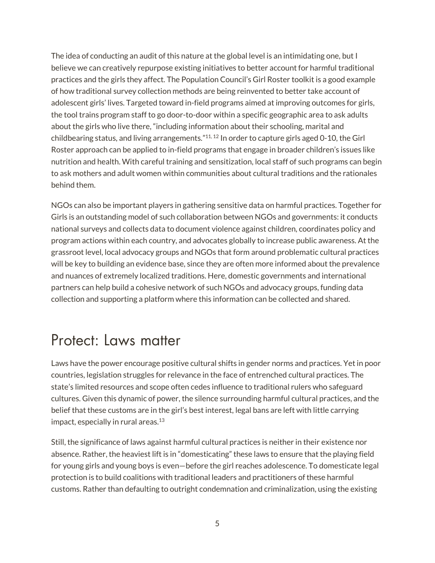The idea of conducting an audit of this nature at the global level is an intimidating one, but I believe we can creatively repurpose existing initiatives to better account for harmful traditional practices and the girls they affect. The [Population](http://www.popcouncil.org/news/the-girl-roster-an-innovative-approach-to-ending-the-gender-data-gap) Council's Girl Roster toolkit is a good example of how traditional survey collection methods are being reinvented to better take account of adolescent girls' lives. Targeted toward in-field programs aimed at improving outcomes for girls, the tool trains program staff to go door-to-door within a specific geographic area to ask adults about the girls who live there, "including information about their schooling, marital and childbearing status, and living arrangements." $11, 12$  In order to capture girls aged 0-10, the Girl Roster approach can be applied to in-field programs that engage in broader children's issues like nutrition and health. With careful training and sensitization, local staff of such programs can begin to ask mothers and adult women within communities about cultural traditions and the rationales behind them.

NGOs can also be important players in gathering sensitive data on harmful practices. Together for Girls is an outstanding model of such collaboration between NGOs and governments: it conducts national surveys and collects data to document violence against children, coordinates policy and program actions within each country, and advocates globally to increase public awareness. At the grassroot level, local advocacy groups and NGOs that form around problematic cultural practices will be key to building an evidence base, since they are often more informed about the prevalence and nuances of extremely localized traditions. Here, domestic governments and international partners can help build a cohesive network of such NGOs and advocacy groups, funding data collection and supporting a platform where this information can be collected and shared.

#### Protect: Laws matter

Laws have the power encourage positive cultural shifts in gender norms and practices. Yet in poor countries, legislation struggles for relevance in the face of entrenched cultural practices. The state's limited resources and scope often cedes influence to traditional rulers who safeguard cultures. Given this dynamic of power, the silence surrounding harmful cultural practices, and the belief that these customs are in the girl's best interest, legal bans are left with little carrying impact, especially in rural areas. $13$ 

Still, the significance of laws against harmful cultural practices is neither in their existence nor absence. Rather, the heaviest lift is in "domesticating" these laws to ensure that the playing field for young girls and young boys is even—before the girl reaches adolescence. To domesticate legal protection is to build coalitions with traditional leaders and practitioners of these harmful customs. Rather than defaulting to outright condemnation and criminalization, using the existing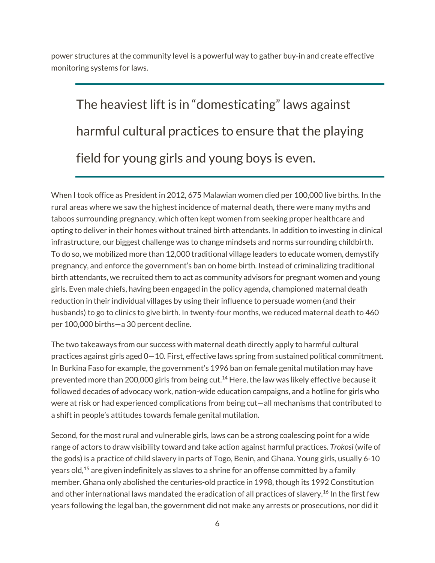power structures at the community level is a powerful way to gather buy-in and create effective monitoring systems for laws.

The heaviest lift is in "domesticating" laws against harmful cultural practices to ensure that the playing field for young girls and young boys is even.

When I took office as President in 2012, 675 Malawian women died per 100,000 live births. In the rural areas where we saw the highest incidence of maternal death, there were many myths and taboos surrounding pregnancy, which often kept women from seeking proper healthcare and opting to deliver in their homes without trained birth attendants. In addition to investing in clinical infrastructure, our biggest challenge was to change mindsets and norms surrounding childbirth. To do so, we mobilized more than 12,000 traditional village leaders to educate women, demystify pregnancy, and enforce the government's ban on home birth. Instead of criminalizing traditional birth attendants, we recruited them to act as community advisors for pregnant women and young girls. Even male chiefs, having been engaged in the policy agenda, championed maternal death reduction in their individual villages by using their influence to persuade women (and their husbands) to go to clinics to give birth. In twenty-four months, we reduced maternal death to 460 per 100,000 births—a 30 percent decline.

The two takeaways from our success with maternal death directly apply to harmful cultural practices against girls aged 0—10. First, effective laws spring from sustained political commitment. In Burkina Faso for example, the government's 1996 ban on female genital mutilation may have prevented more than 200,000 girls from being cut.<sup>14</sup> Here, the law was likely effective because it followed decades of advocacy work, nation-wide education campaigns, and a hotline for girls who were at risk or had experienced complications from being cut—all mechanisms that contributed to a shift in people's attitudes towards female genital mutilation.

Second, for the most rural and vulnerable girls, laws can be a strong coalescing point for a wide range of actors to draw visibility toward and take action against harmful practices. *Trokosi* (wife of the gods) is a practice of child slavery in parts of Togo, Benin, and Ghana. Young girls, usually 6-10 years old,<sup>15</sup> are given indefinitely as slaves to a shrine for an offense committed by a family member. Ghana only abolished the centuries-old practice in 1998, though its 1992 Constitution and other international laws mandated the eradication of all practices of slavery.<sup>16</sup> In the first few years following the legal ban, the government did not make any arrests or prosecutions, nor did it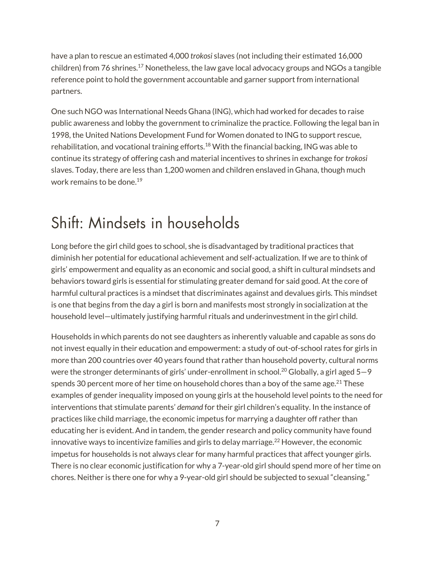have a plan to rescue an estimated 4,000 *trokosi* slaves (not including their estimated 16,000 children) from 76 shrines.<sup>17</sup> Nonetheless, the law gave local advocacy groups and NGOs a tangible reference point to hold the government accountable and garner support from international partners.

One such NGO was International Needs Ghana (ING), which had worked for decades to raise public awareness and lobby the government to criminalize the practice. Following the legal ban in 1998, the United Nations Development Fund for Women donated to ING to support rescue, rehabilitation, and vocational training efforts.<sup>18</sup> With the financial backing, ING was able to continue its strategy of offering cash and material incentives to shrines in exchange for *trokosi* slaves. Today, there are less than 1,200 women and children enslaved in Ghana, though much work remains to be done.<sup>19</sup>

## Shift: Mindsets in households

Long before the girl child goes to school, she is disadvantaged by traditional practices that diminish her potential for educational achievement and self-actualization. If we are to think of girls' empowerment and equality as an economic and social good, a shift in cultural mindsets and behaviors toward girls is essential for stimulating greater demand for said good. At the core of harmful cultural practices is a mindset that discriminates against and devalues girls. This mindset is one that begins from the day a girl is born and manifests most strongly in socialization at the household level—ultimately justifying harmful rituals and underinvestment in the girl child.

Households in which parents do not see daughters as inherently valuable and capable as sons do not invest equally in their education and empowerment: a study of out-of-school rates for girls in more than 200 countries over 40 years found that rather than household poverty, cultural norms were the stronger determinants of girls' under-enrollment in school.<sup>20</sup> Globally, a girl aged  $5-9$ spends 30 percent more of her time on household chores than a boy of the same age.<sup>21</sup> These examples of gender inequality imposed on young girls at the household level points to the need for interventions that stimulate parents' *demand* for their girl children's equality. In the instance of practices like child marriage, the economic impetus for marrying a daughter off rather than educating her is evident. And in tandem, the gender research and policy community have found innovative ways to incentivize families and girls to delay marriage.<sup>22</sup> However, the economic impetus for households is not always clear for many harmful practices that affect younger girls. There is no clear economic justification for why a 7-year-old girl should spend more of her time on chores. Neither is there one for why a 9-year-old girl should be subjected to sexual "cleansing."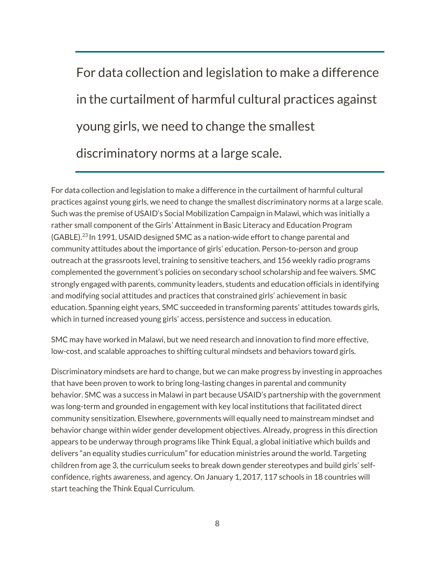For data collection and legislation to make a difference in the curtailment of harmful cultural practices against young girls, we need to change the smallest discriminatory norms at a large scale.

For data collection and legislation to make a difference in the curtailment of harmful cultural practices against young girls, we need to change the smallest discriminatory norms at a large scale. Such was the premise of USAID's Social Mobilization Campaign in Malawi, which was initially a rather small component of the Girls' Attainment in Basic Literacy and Education Program (GABLE).23 In 1991, USAID designed SMC as a nation-wide effort to change parental and community attitudes about the importance of girls' education. Person-to-person and group outreach at the grassroots level, training to sensitive teachers, and 156 weekly radio programs complemented the government's policies on secondary school scholarship and fee waivers. SMC strongly engaged with parents, community leaders, students and education officials in identifying and modifying social attitudes and practices that constrained girls' achievement in basic education. Spanning eight years, SMC succeeded in transforming parents' attitudes towards girls, which in turned increased young girls' access, persistence and success in education.

SMC may have worked in Malawi, but we need research and innovation to find more effective, low-cost, and scalable approaches to shifting cultural mindsets and behaviors toward girls.

Discriminatory mindsets are hard to change, but we can make progress by investing in approaches that have been proven to work to bring long-lasting changes in parental and community behavior. SMC was a success in Malawi in part because USAID's partnership with the government was long-term and grounded in engagement with key local institutions that facilitated direct community sensitization. Elsewhere, governments will equally need to mainstream mindset and behavior change within wider gender development objectives. Already, progress in this direction appears to be underway through programs like Think [Equal,](http://www.thinkequal.com/) a global initiative which builds and delivers "an equality studies curriculum" for education ministries around the world. Targeting children from age 3, the curriculum seeks to break down gender stereotypes and build girls' selfconfidence, rights awareness, and agency. On January 1, 2017, 117 schools in 18 countries will start teaching the Think Equal Curriculum.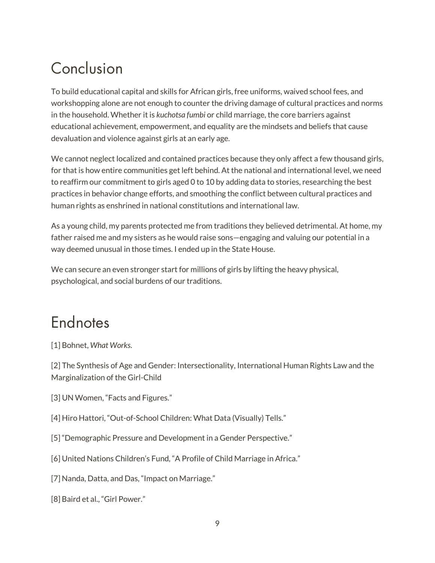## Conclusion

To build educational capital and skills for African girls, free uniforms, waived school fees, and workshopping alone are not enough to counter the driving damage of cultural practices and norms in the household. Whether it is *kuchotsa fumbi* or child marriage, the core barriers against educational achievement, empowerment, and equality are the mindsets and beliefs that cause devaluation and violence against girls at an early age.

We cannot neglect localized and contained practices because they only affect a few thousand girls, for that is how entire communities get left behind. At the national and international level, we need to reaffirm our commitment to girls aged 0 to 10 by adding data to stories, researching the best practices in behavior change efforts, and smoothing the conflict between cultural practices and human rights as enshrined in national constitutions and international law.

As a young child, my parents protected me from traditions they believed detrimental. At home, my father raised me and my sisters as he would raise sons—engaging and valuing our potential in a way deemed unusual in those times. I ended up in the State House.

We can secure an even stronger start for millions of girls by lifting the heavy physical, psychological, and social burdens of our traditions.

### Endnotes

[1] Bohnet, *What Works*.

[2] The Synthesis of Age and Gender: Intersectionality, International Human Rights Law and the Marginalization of the Girl-Child

- [3] UN Women, "Facts and Figures."
- [4] Hiro Hattori, "Out-of-School Children: What Data (Visually) Tells."
- [5] "Demographic Pressure and Development in a Gender Perspective."
- [6] United Nations Children's Fund, "A Profile of Child Marriage in Africa."
- [7] Nanda, Datta, and Das, "Impact on Marriage."
- [8] Baird et al., "Girl Power."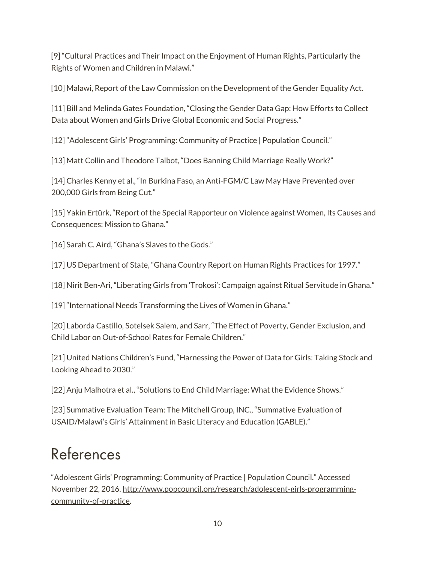[9] "Cultural Practices and Their Impact on the Enjoyment of Human Rights, Particularly the Rights of Women and Children in Malawi."

[10] Malawi, Report of the Law Commission on the Development of the Gender Equality Act.

[11] Bill and Melinda Gates Foundation, "Closing the Gender Data Gap: How Efforts to Collect Data about Women and Girls Drive Global Economic and Social Progress."

[12] "Adolescent Girls' Programming: Community of Practice | Population Council."

[13] Matt Collin and Theodore Talbot, "Does Banning Child Marriage Really Work?"

[14] Charles Kenny et al., "In Burkina Faso, an Anti-FGM/C Law May Have Prevented over 200,000 Girls from Being Cut."

[15] Yakin Ertürk, "Report of the Special Rapporteur on Violence against Women, Its Causes and Consequences: Mission to Ghana."

[16] Sarah C. Aird, "Ghana's Slaves to the Gods."

[17] US Department of State, "Ghana Country Report on Human Rights Practices for 1997."

[18] Nirit Ben-Ari, "Liberating Girls from 'Trokosi': Campaign against Ritual Servitude in Ghana."

[19] "International Needs Transforming the Lives of Women in Ghana."

[20] Laborda Castillo, Sotelsek Salem, and Sarr, "The Effect of Poverty, Gender Exclusion, and Child Labor on Out-of-School Rates for Female Children."

[21] United Nations Children's Fund, "Harnessing the Power of Data for Girls: Taking Stock and Looking Ahead to 2030."

[22] Anju Malhotra et al., "Solutions to End Child Marriage: What the Evidence Shows."

[23] Summative Evaluation Team: The Mitchell Group, INC., "Summative Evaluation of USAID/Malawi's Girls' Attainment in Basic Literacy and Education (GABLE)."

## References

"Adolescent Girls' Programming: Community of Practice | Population Council." Accessed November 22, 2016[. http://www.popcouncil.org/research/adolescent-girls-programming](http://www.popcouncil.org/research/adolescent-girls-programming-community-of-practice)[community-of-practice.](http://www.popcouncil.org/research/adolescent-girls-programming-community-of-practice)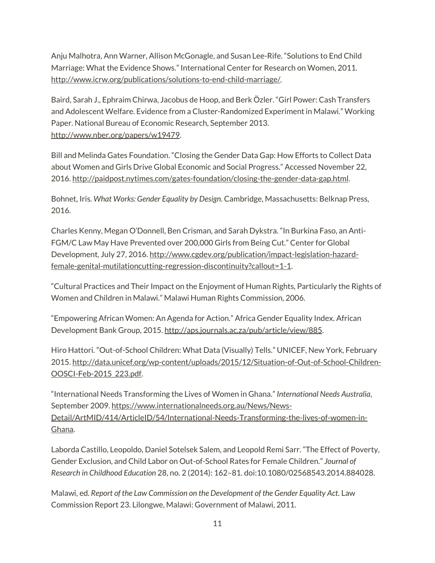Anju Malhotra, Ann Warner, Allison McGonagle, and Susan Lee-Rife. "Solutions to End Child Marriage: What the Evidence Shows." International Center for Research on Women, 2011. [http://www.icrw.org/publications/solutions-to-end-child-marriage/.](http://www.icrw.org/publications/solutions-to-end-child-marriage/)

Baird, Sarah J., Ephraim Chirwa, Jacobus de Hoop, and Berk Özler. "Girl Power: Cash Transfers and Adolescent Welfare. Evidence from a Cluster-Randomized Experiment in Malawi." Working Paper. National Bureau of Economic Research, September 2013. [http://www.nber.org/papers/w19479.](http://www.nber.org/papers/w19479)

Bill and Melinda Gates Foundation. "Closing the Gender Data Gap: How Efforts to Collect Data about Women and Girls Drive Global Economic and Social Progress." Accessed November 22, 2016. [http://paidpost.nytimes.com/gates-foundation/closing-the-gender-data-gap.html.](http://paidpost.nytimes.com/gates-foundation/closing-the-gender-data-gap.html)

Bohnet, Iris. *What Works: Gender Equality by Design*. Cambridge, Massachusetts: Belknap Press, 2016.

Charles Kenny, Megan O'Donnell, Ben Crisman, and Sarah Dykstra. "In Burkina Faso, an Anti-FGM/C Law May Have Prevented over 200,000 Girls from Being Cut." Center for Global Development, July 27, 2016[. http://www.cgdev.org/publication/impact-legislation-hazard](http://www.cgdev.org/publication/impact-legislation-hazard-female-genital-mutilationcutting-regression-discontinuity?callout=1-1)[female-genital-mutilationcutting-regression-discontinuity?callout=1-1.](http://www.cgdev.org/publication/impact-legislation-hazard-female-genital-mutilationcutting-regression-discontinuity?callout=1-1)

"Cultural Practices and Their Impact on the Enjoyment of Human Rights, Particularly the Rights of Women and Children in Malawi." Malawi Human Rights Commission, 2006.

"Empowering African Women: An Agenda for Action." Africa Gender Equality Index. African Development Bank Group, 2015[. http://aps.journals.ac.za/pub/article/view/885.](http://aps.journals.ac.za/pub/article/view/885)

Hiro Hattori. "Out-of-School Children: What Data (Visually) Tells." UNICEF, New York, February 2015. [http://data.unicef.org/wp-content/uploads/2015/12/Situation-of-Out-of-School-Children-](http://data.unicef.org/wp-content/uploads/2015/12/Situation-of-Out-of-School-Children-OOSCI-Feb-2015_223.pdf)[OOSCI-Feb-2015\\_223.pdf.](http://data.unicef.org/wp-content/uploads/2015/12/Situation-of-Out-of-School-Children-OOSCI-Feb-2015_223.pdf)

"International Needs Transforming the Lives of Women in Ghana." *International Needs Australia*, September 2009. [https://www.internationalneeds.org.au/News/News-](https://www.internationalneeds.org.au/News/News-Detail/ArtMID/414/ArticleID/54/International-Needs-Transforming-the-lives-of-women-in-Ghana)[Detail/ArtMID/414/ArticleID/54/International-Needs-Transforming-the-lives-of-women-in-](https://www.internationalneeds.org.au/News/News-Detail/ArtMID/414/ArticleID/54/International-Needs-Transforming-the-lives-of-women-in-Ghana)[Ghana.](https://www.internationalneeds.org.au/News/News-Detail/ArtMID/414/ArticleID/54/International-Needs-Transforming-the-lives-of-women-in-Ghana)

Laborda Castillo, Leopoldo, Daniel Sotelsek Salem, and Leopold Remi Sarr. "The Effect of Poverty, Gender Exclusion, and Child Labor on Out-of-School Rates for Female Children." *Journal of Research in Childhood Education* 28, no. 2 (2014): 162–81. doi:10.1080/02568543.2014.884028.

Malawi, ed. *Report of the Law Commission on the Development of the Gender Equality Act*. Law Commission Report 23. Lilongwe, Malawi: Government of Malawi, 2011.